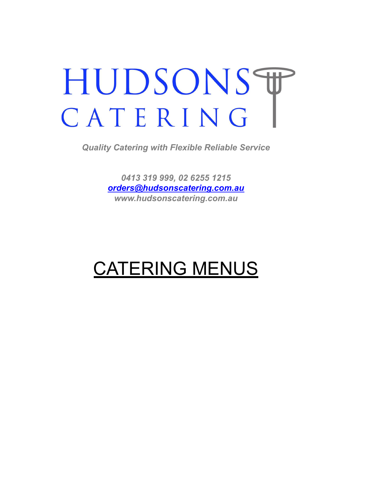# HUDSONST CATERING

*Quality Catering with Flexible Reliable Service*

*0413 319 999, 02 6255 1215 [orders@hudsonscatering.com.au](mailto:orders@hudsonscatering.com.au) www.hudsonscatering.com.au*

## CATERING MENUS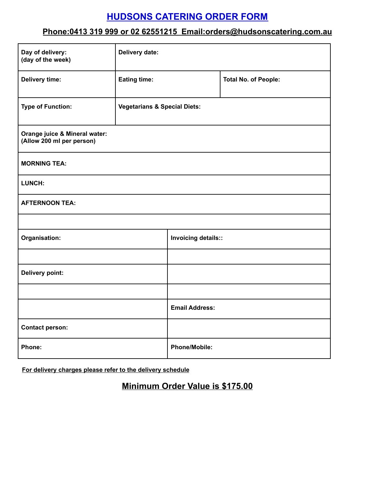## **HUDSONS CATERING ORDER FORM**

### **Phone:0413 319 999 or 02 62551215 Email:orders@hudsonscatering.com.au**

| Day of delivery:<br>(day of the week)                      | Delivery date:                          |                       |                             |
|------------------------------------------------------------|-----------------------------------------|-----------------------|-----------------------------|
| <b>Delivery time:</b>                                      | <b>Eating time:</b>                     |                       | <b>Total No. of People:</b> |
| <b>Type of Function:</b>                                   | <b>Vegetarians &amp; Special Diets:</b> |                       |                             |
| Orange juice & Mineral water:<br>(Allow 200 ml per person) |                                         |                       |                             |
| <b>MORNING TEA:</b>                                        |                                         |                       |                             |
| LUNCH:                                                     |                                         |                       |                             |
| <b>AFTERNOON TEA:</b>                                      |                                         |                       |                             |
|                                                            |                                         |                       |                             |
| Organisation:                                              |                                         | Invoicing details::   |                             |
|                                                            |                                         |                       |                             |
| Delivery point:                                            |                                         |                       |                             |
|                                                            |                                         |                       |                             |
|                                                            |                                         | <b>Email Address:</b> |                             |
| <b>Contact person:</b>                                     |                                         |                       |                             |
| Phone:                                                     |                                         | <b>Phone/Mobile:</b>  |                             |

**For delivery charges please refer to the delivery schedule**

## **Minimum Order Value is \$175.00**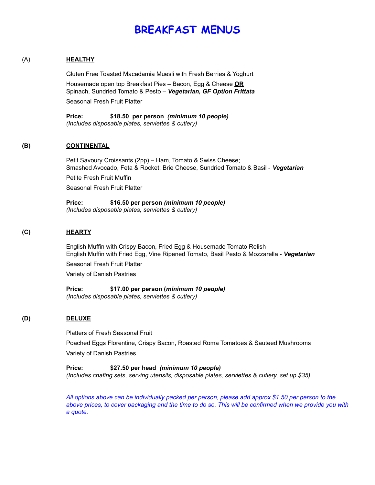## **BREAKFAST MENUS**

#### (A) **HEALTHY**

Gluten Free Toasted Macadamia Muesli with Fresh Berries & Yoghurt Housemade open top Breakfast Pies – Bacon, Egg & Cheese **OR** Spinach, Sundried Tomato & Pesto – *Vegetarian, GF Option Frittata* Seasonal Fresh Fruit Platter

**Price: \$18.50 per person** *(minimum 10 people) (Includes disposable plates, serviettes & cutlery)*

#### **(B) CONTINENTAL**

Petit Savoury Croissants (2pp) – Ham, Tomato & Swiss Cheese; Smashed Avocado, Feta & Rocket; Brie Cheese, Sundried Tomato & Basil - *Vegetarian*

Petite Fresh Fruit Muffin

Seasonal Fresh Fruit Platter

**Price: \$16.50 per person** *(minimum 10 people) (Includes disposable plates, serviettes & cutlery)*

#### **(C) HEARTY**

English Muffin with Crispy Bacon, Fried Egg & Housemade Tomato Relish English Muffin with Fried Egg, Vine Ripened Tomato, Basil Pesto & Mozzarella - *Vegetarian*

Seasonal Fresh Fruit Platter

Variety of Danish Pastries

**Price: \$17.00 per person (***minimum 10 people) (Includes disposable plates, serviettes & cutlery)*

#### **(D) DELUXE**

Platters of Fresh Seasonal Fruit

Poached Eggs Florentine, Crispy Bacon, Roasted Roma Tomatoes & Sauteed Mushrooms Variety of Danish Pastries

**Price: \$27.50 per head** *(minimum 10 people) (Includes chafing sets, serving utensils, disposable plates, serviettes & cutlery, set up \$35)*

*All options above can be individually packed per person, please add approx \$1.50 per person to the* above prices, to cover packaging and the time to do so. This will be confirmed when we provide you with *a quote.*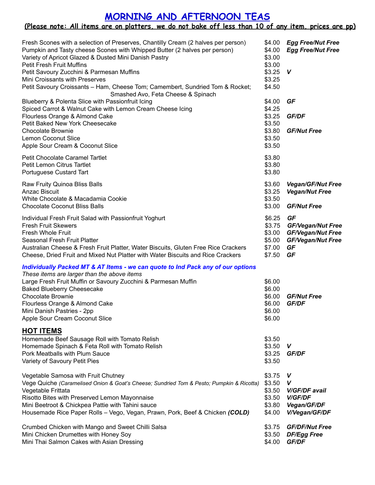## **MORNING AND AFTERNOON TEAS**

#### <u>(Please note: All items are on platters, we do not bake off less than 10 of any item, prices are pp)</u>

| Fresh Scones with a selection of Preserves, Chantilly Cream (2 halves per person)<br>Pumpkin and Tasty cheese Scones with Whipped Butter (2 halves per person)<br>Variety of Apricot Glazed & Dusted Mini Danish Pastry<br><b>Petit Fresh Fruit Muffins</b><br>Petit Savoury Zucchini & Parmesan Muffins<br>Mini Croissants with Preserves<br>Petit Savoury Croissants - Ham, Cheese Tom; Camembert, Sundried Tom & Rocket;<br>Smashed Avo, Feta Cheese & Spinach | \$4.00<br>\$4.00<br>\$3.00<br>\$3.00<br>\$3.25<br>\$3.25<br>\$4.50 | <b>Egg Free/Nut Free</b><br><b>Egg Free/Nut Free</b><br>$\mathsf{V}$                               |
|-------------------------------------------------------------------------------------------------------------------------------------------------------------------------------------------------------------------------------------------------------------------------------------------------------------------------------------------------------------------------------------------------------------------------------------------------------------------|--------------------------------------------------------------------|----------------------------------------------------------------------------------------------------|
| Blueberry & Polenta Slice with Passionfruit Icing<br>Spiced Carrot & Walnut Cake with Lemon Cream Cheese Icing<br>Flourless Orange & Almond Cake<br>Petit Baked New York Cheesecake<br><b>Chocolate Brownie</b><br><b>Lemon Coconut Slice</b><br>Apple Sour Cream & Coconut Slice                                                                                                                                                                                 | \$4.00<br>\$4.25<br>\$3.25<br>\$3.50<br>\$3.80<br>\$3.50<br>\$3.50 | GF<br>GF/DF<br><b>GF/Nut Free</b>                                                                  |
| Petit Chocolate Caramel Tartlet<br>Petit Lemon Citrus Tartlet<br>Portuguese Custard Tart                                                                                                                                                                                                                                                                                                                                                                          | \$3.80<br>\$3.80<br>\$3.80                                         |                                                                                                    |
| Raw Fruity Quinoa Bliss Balls<br>Anzac Biscuit<br>White Chocolate & Macadamia Cookie<br><b>Chocolate Coconut Bliss Balls</b>                                                                                                                                                                                                                                                                                                                                      | \$3.60<br>\$3.25<br>\$3.50<br>\$3.00                               | <b>Vegan/GF/Nut Free</b><br><b>Vegan/Nut Free</b><br><b>GF/Nut Free</b>                            |
| Individual Fresh Fruit Salad with Passionfruit Yoghurt<br><b>Fresh Fruit Skewers</b><br><b>Fresh Whole Fruit</b><br>Seasonal Fresh Fruit Platter<br>Australian Cheese & Fresh Fruit Platter, Water Biscuits, Gluten Free Rice Crackers<br>Cheese, Dried Fruit and Mixed Nut Platter with Water Biscuits and Rice Crackers                                                                                                                                         | \$6.25<br>\$3.75<br>\$3.00<br>\$5.00<br>\$7.00<br>\$7.50           | GF<br><b>GF/Vegan/Nut Free</b><br><b>GF/Vegan/Nut Free</b><br><b>GF/Vegan/Nut Free</b><br>GF<br>GF |
| Individually Packed MT & AT Items - we can quote to Ind Pack any of our options<br>These items are larger than the above items<br>Large Fresh Fruit Muffin or Savoury Zucchini & Parmesan Muffin<br><b>Baked Blueberry Cheesecake</b><br><b>Chocolate Brownie</b><br>Flourless Orange & Almond Cake<br>Mini Danish Pastries - 2pp<br>Apple Sour Cream Coconut Slice                                                                                               | \$6.00<br>\$6.00<br>\$6.00<br>\$6.00<br>\$6.00<br>\$6.00           | <b>GF/Nut Free</b><br><b>GF/DF</b>                                                                 |
| <b>HOT ITEMS</b><br>Homemade Beef Sausage Roll with Tomato Relish<br>Homemade Spinach & Feta Roll with Tomato Relish<br>Pork Meatballs with Plum Sauce<br>Variety of Savoury Petit Pies                                                                                                                                                                                                                                                                           | \$3.50<br>\$3.50<br>\$3.25<br>\$3.50                               | V<br><b>GF/DF</b>                                                                                  |
| Vegetable Samosa with Fruit Chutney<br>Vege Quiche (Caramelised Onion & Goat's Cheese; Sundried Tom & Pesto; Pumpkin & Ricotta)<br>Vegetable Frittata<br>Risotto Bites with Preserved Lemon Mayonnaise<br>Mini Beetroot & Chickpea Pattie with Tahini sauce<br>Housemade Rice Paper Rolls - Vego, Vegan, Prawn, Pork, Beef & Chicken (COLD)                                                                                                                       | \$3.75<br>\$3.50<br>\$3.50<br>\$3.50<br>\$3.80<br>\$4.00           | $\mathsf{v}$<br>V<br><b>V/GF/DF avail</b><br><b>V/GF/DF</b><br>Vegan/GF/DF<br>V/Vegan/GF/DF        |
| Crumbed Chicken with Mango and Sweet Chilli Salsa<br>Mini Chicken Drumettes with Honey Soy<br>Mini Thai Salmon Cakes with Asian Dressing                                                                                                                                                                                                                                                                                                                          | \$3.75<br>\$3.50<br>\$4.00                                         | <b>GF/DF/Nut Free</b><br><b>DF/Egg Free</b><br>GF/DF                                               |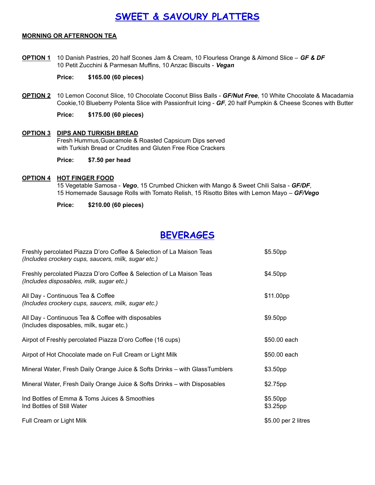## **SWEET & SAVOURY PLATTERS**

#### **MORNING OR AFTERNOON TEA**

**OPTION 1** 10 Danish Pastries, 20 half Scones Jam & Cream, 10 Flourless Orange & Almond Slice – *GF & DF* 10 Petit Zucchini & Parmesan Muffins, 10 Anzac Biscuits - *Vegan*

#### **Price: \$165.00 (60 pieces)**

**OPTION 2** 10 Lemon Coconut Slice, 10 Chocolate Coconut Bliss Balls - *GF/Nut Free*, 10 White Chocolate & Macadamia Cookie,10 Blueberry Polenta Slice with Passionfruit Icing - *GF*, 20 half Pumpkin & Cheese Scones with Butter

**Price: \$175.00 (60 pieces)**

#### **OPTION 3 DIPS AND TURKISH BREAD**

Fresh Hummus,Guacamole & Roasted Capsicum Dips served with Turkish Bread or Crudites and Gluten Free Rice Crackers

**Price: \$7.50 per head**

#### **OPTION 4 HOT FINGER FOOD**

15 Vegetable Samosa - *Vego*, 15 Crumbed Chicken with Mango & Sweet Chili Salsa - *GF/DF*, 15 Homemade Sausage Rolls with Tomato Relish, 15 Risotto Bites with Lemon Mayo *– GF/Vego*

#### **Price: \$210.00 (60 pieces)**

## **BEVERAGES**

| Freshly percolated Piazza D'oro Coffee & Selection of La Maison Teas<br>(Includes crockery cups, saucers, milk, sugar etc.) | \$5.50 <sub>pp</sub>             |
|-----------------------------------------------------------------------------------------------------------------------------|----------------------------------|
| Freshly percolated Piazza D'oro Coffee & Selection of La Maison Teas<br>(Includes disposables, milk, sugar etc.)            | \$4.50 <sub>pp</sub>             |
| All Day - Continuous Tea & Coffee<br>(Includes crockery cups, saucers, milk, sugar etc.)                                    | \$11.00pp                        |
| All Day - Continuous Tea & Coffee with disposables<br>(Includes disposables, milk, sugar etc.)                              | \$9.50 <sub>pp</sub>             |
| Airpot of Freshly percolated Piazza D'oro Coffee (16 cups)                                                                  | \$50.00 each                     |
| Airpot of Hot Chocolate made on Full Cream or Light Milk                                                                    | \$50.00 each                     |
| Mineral Water, Fresh Daily Orange Juice & Softs Drinks – with GlassTumblers                                                 | \$3.50 <sub>pp</sub>             |
| Mineral Water, Fresh Daily Orange Juice & Softs Drinks - with Disposables                                                   | \$2.75pp                         |
| Ind Bottles of Emma & Toms Juices & Smoothies<br>Ind Bottles of Still Water                                                 | \$5.50 <sub>pp</sub><br>\$3.25pp |
| Full Cream or Light Milk                                                                                                    | \$5.00 per 2 litres              |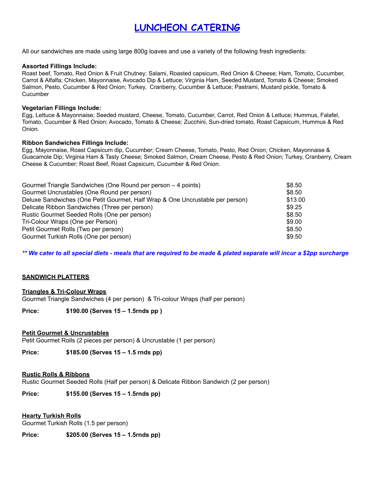## **LUNCHEON CATERING**

All our sandwiches are made using large 800g loaves and use a variety of the following fresh ingredients:

#### **Assorted Fillings Include:**

Roast beef, Tomato, Red Onion & Fruit Chutney; Salami, Roasted capsicum, Red Onion & Cheese; Ham, Tomato, Cucumber, Carrot & Alfalfa; Chicken, Mayonnaise, Avocado Dip & Lettuce; Virginia Ham, Seeded Mustard, Tomato & Cheese; Smoked Salmon, Pesto, Cucumber & Red Onion; Turkey, Cranberry, Cucumber & Lettuce; Pastrami, Mustard pickle, Tomato & **Cucumber** 

#### **Vegetarian Fillings Include:**

Egg, Lettuce & Mayonnaise; Seeded mustard, Cheese, Tomato, Cucumber, Carrot, Red Onion & Lettuce; Hummus, Falafel, Tomato, Cucumber & Red Onion; Avocado, Tomato & Cheese; Zucchini, Sun-dried tomato, Roast Capsicum, Hummus & Red Onion.

#### **Ribbon Sandwiches Fillings Include:**

Egg, Mayonnaise, Roast Capsicum dip, Cucumber; Cream Cheese, Tomato, Pesto, Red Onion; Chicken, Mayonnaise & Guacamole Dip; Virginia Ham & Tasty Cheese; Smoked Salmon, Cream Cheese, Pesto & Red Onion; Turkey, Cranberry, Cream Cheese & Cucumber; Roast Beef, Roast Capsicum, Cucumber & Red Onion.

| Gourmet Triangle Sandwiches (One Round per person - 4 points)                 | \$8.50  |
|-------------------------------------------------------------------------------|---------|
| Gourmet Uncrustables (One Round per person)                                   | \$8.50  |
| Deluxe Sandwiches (One Petit Gourmet, Half Wrap & One Uncrustable per person) | \$13.00 |
| Delicate Ribbon Sandwiches (Three per person)                                 | \$9.25  |
| Rustic Gourmet Seeded Rolls (One per person)                                  | \$8.50  |
| Tri-Colour Wraps (One per Person)                                             | \$9.00  |
| Petit Gourmet Rolls (Two per person)                                          | \$8.50  |
| Gourmet Turkish Rolls (One per person)                                        | \$9.50  |

\*\* We cater to all special diets - meals that are required to be made & plated separate will incur a \$2pp surcharge

#### **SANDWICH PLATTERS**

#### **Triangles & Tri-Colour Wraps**

Gourmet Triangle Sandwiches (4 per person) & Tri-colour Wraps (half per person)

**Price: \$190.00 (Serves 15 – 1.5rnds pp )**

#### **Petit Gourmet & Uncrustables**

Petit Gourmet Rolls (2 pieces per person) & Uncrustable (1 per person)

**Price: \$185.00 (Serves 15 – 1.5 rnds pp)**

#### **Rustic Rolls & Ribbons**

Rustic Gourmet Seeded Rolls (Half per person) & Delicate Ribbon Sandwich (2 per person)

**Price: \$155.00 (Serves 15 – 1.5rnds pp)**

#### **Hearty Turkish Rolls**

Gourmet Turkish Rolls (1.5 per person)

**Price: \$205.00 (Serves 15 – 1.5rnds pp)**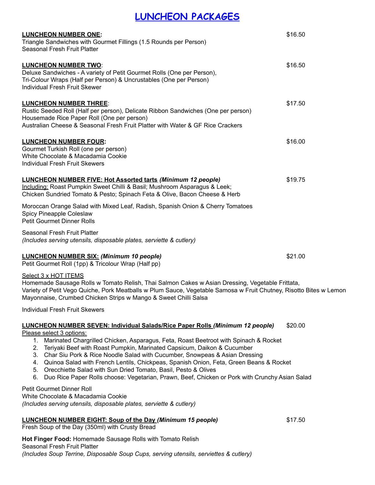## **LUNCHEON PACKAGES**

| <b>LUNCHEON NUMBER ONE:</b><br>Triangle Sandwiches with Gourmet Fillings (1.5 Rounds per Person)<br>Seasonal Fresh Fruit Platter                                                                                                                                                                                                                                                                                                                                                                                                                                                                                                              | \$16.50 |
|-----------------------------------------------------------------------------------------------------------------------------------------------------------------------------------------------------------------------------------------------------------------------------------------------------------------------------------------------------------------------------------------------------------------------------------------------------------------------------------------------------------------------------------------------------------------------------------------------------------------------------------------------|---------|
| <b>LUNCHEON NUMBER TWO:</b><br>Deluxe Sandwiches - A variety of Petit Gourmet Rolls (One per Person),<br>Tri-Colour Wraps (Half per Person) & Uncrustables (One per Person)<br>Individual Fresh Fruit Skewer                                                                                                                                                                                                                                                                                                                                                                                                                                  | \$16.50 |
| <b>LUNCHEON NUMBER THREE:</b><br>Rustic Seeded Roll (Half per person), Delicate Ribbon Sandwiches (One per person)<br>Housemade Rice Paper Roll (One per person)<br>Australian Cheese & Seasonal Fresh Fruit Platter with Water & GF Rice Crackers                                                                                                                                                                                                                                                                                                                                                                                            | \$17.50 |
| <b>LUNCHEON NUMBER FOUR:</b><br>Gourmet Turkish Roll (one per person)<br>White Chocolate & Macadamia Cookie<br><b>Individual Fresh Fruit Skewers</b>                                                                                                                                                                                                                                                                                                                                                                                                                                                                                          | \$16.00 |
| <b>LUNCHEON NUMBER FIVE: Hot Assorted tarts (Minimum 12 people)</b><br>Including: Roast Pumpkin Sweet Chilli & Basil; Mushroom Asparagus & Leek;<br>Chicken Sundried Tomato & Pesto; Spinach Feta & Olive, Bacon Cheese & Herb                                                                                                                                                                                                                                                                                                                                                                                                                | \$19.75 |
| Moroccan Orange Salad with Mixed Leaf, Radish, Spanish Onion & Cherry Tomatoes<br>Spicy Pineapple Coleslaw<br><b>Petit Gourmet Dinner Rolls</b>                                                                                                                                                                                                                                                                                                                                                                                                                                                                                               |         |
| Seasonal Fresh Fruit Platter<br>(Includes serving utensils, disposable plates, serviette & cutlery)                                                                                                                                                                                                                                                                                                                                                                                                                                                                                                                                           |         |
| <b>LUNCHEON NUMBER SIX: (Minimum 10 people)</b><br>Petit Gourmet Roll (1pp) & Tricolour Wrap (Half pp)                                                                                                                                                                                                                                                                                                                                                                                                                                                                                                                                        | \$21.00 |
| Select 3 x HOT ITEMS<br>Homemade Sausage Rolls w Tomato Relish, Thai Salmon Cakes w Asian Dressing, Vegetable Frittata,<br>Variety of Petit Vego Quiche, Pork Meatballs w Plum Sauce, Vegetable Samosa w Fruit Chutney, Risotto Bites w Lemon<br>Mayonnaise, Crumbed Chicken Strips w Mango & Sweet Chilli Salsa                                                                                                                                                                                                                                                                                                                              |         |
| <b>Individual Fresh Fruit Skewers</b>                                                                                                                                                                                                                                                                                                                                                                                                                                                                                                                                                                                                         |         |
| LUNCHEON NUMBER SEVEN: Individual Salads/Rice Paper Rolls (Minimum 12 people)<br>Please select 3 options:<br>1. Marinated Chargrilled Chicken, Asparagus, Feta, Roast Beetroot with Spinach & Rocket<br>2. Teriyaki Beef with Roast Pumpkin, Marinated Capsicum, Daikon & Cucumber<br>3. Char Siu Pork & Rice Noodle Salad with Cucumber, Snowpeas & Asian Dressing<br>4. Quinoa Salad with French Lentils, Chickpeas, Spanish Onion, Feta, Green Beans & Rocket<br>5. Orecchiette Salad with Sun Dried Tomato, Basil, Pesto & Olives<br>Duo Rice Paper Rolls choose: Vegetarian, Prawn, Beef, Chicken or Pork with Crunchy Asian Salad<br>6. | \$20.00 |
| Petit Gourmet Dinner Roll<br>White Chocolate & Macadamia Cookie<br>(Includes serving utensils, disposable plates, serviette & cutlery)                                                                                                                                                                                                                                                                                                                                                                                                                                                                                                        |         |
| <b>LUNCHEON NUMBER EIGHT: Soup of the Day (Minimum 15 people)</b><br>Fresh Soup of the Day (350ml) with Crusty Bread                                                                                                                                                                                                                                                                                                                                                                                                                                                                                                                          | \$17.50 |
| Hot Finger Food: Homemade Sausage Rolls with Tomato Relish<br>Seasonal Fresh Fruit Platter<br>(Includes Soup Terrine, Disposable Soup Cups, serving utensils, serviettes & cutlery)                                                                                                                                                                                                                                                                                                                                                                                                                                                           |         |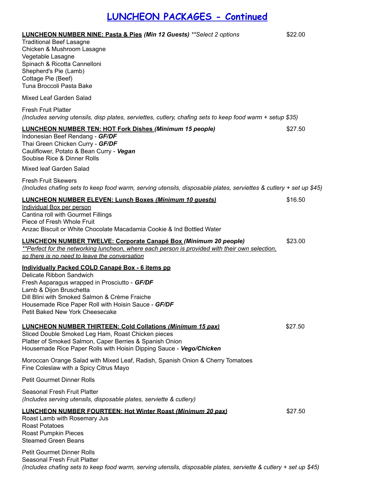## **LUNCHEON PACKAGES - Continued**

| <b>LUNCHEON NUMBER NINE: Pasta &amp; Pies (Min 12 Guests) **Select 2 options</b><br><b>Traditional Beef Lasagne</b><br>Chicken & Mushroom Lasagne<br>Vegetable Lasagne<br>Spinach & Ricotta Cannelloni<br>Shepherd's Pie (Lamb)<br>Cottage Pie (Beef)<br>Tuna Broccoli Pasta Bake                   | \$22.00 |
|-----------------------------------------------------------------------------------------------------------------------------------------------------------------------------------------------------------------------------------------------------------------------------------------------------|---------|
| Mixed Leaf Garden Salad                                                                                                                                                                                                                                                                             |         |
| <b>Fresh Fruit Platter</b><br>(Includes serving utensils, disp plates, serviettes, cutlery, chafing sets to keep food warm + setup \$35)                                                                                                                                                            |         |
| <b>LUNCHEON NUMBER TEN: HOT Fork Dishes (Minimum 15 people)</b><br>Indonesian Beef Rendang - GF/DF<br>Thai Green Chicken Curry - GF/DF<br>Cauliflower, Potato & Bean Curry - Vegan<br>Soubise Rice & Dinner Rolls                                                                                   | \$27.50 |
| Mixed leaf Garden Salad                                                                                                                                                                                                                                                                             |         |
| <b>Fresh Fruit Skewers</b><br>(Includes chafing sets to keep food warm, serving utensils, disposable plates, serviettes & cutlery + set up \$45)                                                                                                                                                    |         |
| <b>LUNCHEON NUMBER ELEVEN: Lunch Boxes (Minimum 10 guests)</b><br>Individual Box per person<br>Cantina roll with Gourmet Fillings<br>Piece of Fresh Whole Fruit<br>Anzac Biscuit or White Chocolate Macadamia Cookie & Ind Bottled Water                                                            | \$16.50 |
| <b>LUNCHEON NUMBER TWELVE: Corporate Canapé Box (Minimum 20 people)</b><br>**Perfect for the networking luncheon, where each person is provided with their own selection,<br>so there is no need to leave the conversation                                                                          | \$23.00 |
| Individually Packed COLD Canapé Box - 6 items pp<br>Delicate Ribbon Sandwich<br>Fresh Asparagus wrapped in Prosciutto - GF/DF<br>Lamb & Dijon Bruschetta<br>Dill Blini with Smoked Salmon & Crème Fraiche<br>Housemade Rice Paper Roll with Hoisin Sauce - GF/DF<br>Petit Baked New York Cheesecake |         |
| <b>LUNCHEON NUMBER THIRTEEN: Cold Collations (Minimum 15 pax)</b><br>Sliced Double Smoked Leg Ham, Roast Chicken pieces<br>Platter of Smoked Salmon, Caper Berries & Spanish Onion<br>Housemade Rice Paper Rolls with Hoisin Dipping Sauce - Vego/Chicken                                           | \$27.50 |
| Moroccan Orange Salad with Mixed Leaf, Radish, Spanish Onion & Cherry Tomatoes<br>Fine Coleslaw with a Spicy Citrus Mayo                                                                                                                                                                            |         |
| <b>Petit Gourmet Dinner Rolls</b>                                                                                                                                                                                                                                                                   |         |
| Seasonal Fresh Fruit Platter<br>(Includes serving utensils, disposable plates, serviette & cutlery)                                                                                                                                                                                                 |         |
| <b>LUNCHEON NUMBER FOURTEEN: Hot Winter Roast (Minimum 20 pax)</b><br>Roast Lamb with Rosemary Jus<br><b>Roast Potatoes</b><br>Roast Pumpkin Pieces<br><b>Steamed Green Beans</b>                                                                                                                   | \$27.50 |
| <b>Petit Gourmet Dinner Rolls</b><br>Seasonal Fresh Fruit Platter                                                                                                                                                                                                                                   |         |

(Includes chafing sets to keep food warm, serving utensils, disposable plates, serviette & cutlery + set up \$45)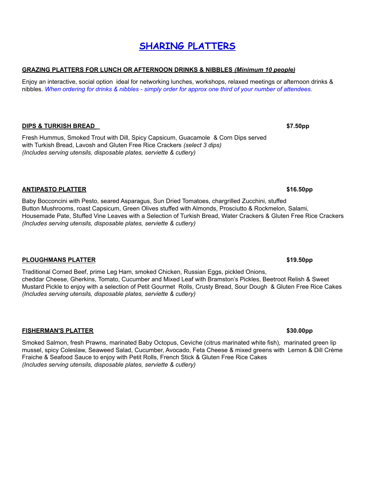## **SHARING PLATTERS**

#### **GRAZING PLATTERS FOR LUNCH OR AFTERNOON DRINKS & NIBBLES** *(Minimum 10 people)*

Enjoy an interactive, social option ideal for networking lunches, workshops, relaxed meetings or afternoon drinks & nibbles. When ordering for drinks & nibbles - simply order for approx one third of your number of attendees.

#### **DIPS & TURKISH BREAD \_ \$7.50pp**

Fresh Hummus, Smoked Trout with Dill, Spicy Capsicum, Guacamole & Corn Dips served with Turkish Bread, Lavosh and Gluten Free Rice Crackers *(select 3 dips) (Includes serving utensils, disposable plates, serviette & cutlery)*

#### **ANTIPASTO PLATTER \$16.50pp** Baby Bocconcini with Pesto, seared Asparagus, Sun Dried Tomatoes, chargrilled Zucchini, stuffed

Button Mushrooms, roast Capsicum, Green Olives stuffed with Almonds, Prosciutto & Rockmelon, Salami, Housemade Pate, Stuffed Vine Leaves with a Selection of Turkish Bread, Water Crackers & Gluten Free Rice Crackers *(Includes serving utensils, disposable plates, serviette & cutlery)*

#### **PLOUGHMANS PLATTER \$19.50pp**

Traditional Corned Beef, prime Leg Ham, smoked Chicken, Russian Eggs, pickled Onions, cheddar Cheese, Gherkins, Tomato, Cucumber and Mixed Leaf with Bramston's Pickles, Beetroot Relish & Sweet Mustard Pickle to enjoy with a selection of Petit Gourmet Rolls, Crusty Bread, Sour Dough & Gluten Free Rice Cakes *(Includes serving utensils, disposable plates, serviette & cutlery)*

#### **FISHERMAN'S PLATTER \$30.00pp**

Smoked Salmon, fresh Prawns, marinated Baby Octopus, Ceviche (citrus marinated white fish), marinated green lip mussel, spicy Coleslaw, Seaweed Salad, Cucumber, Avocado, Feta Cheese & mixed greens with Lemon & Dill Crème Fraiche & Seafood Sauce to enjoy with Petit Rolls, French Stick & Gluten Free Rice Cakes *(Includes serving utensils, disposable plates, serviette & cutlery)*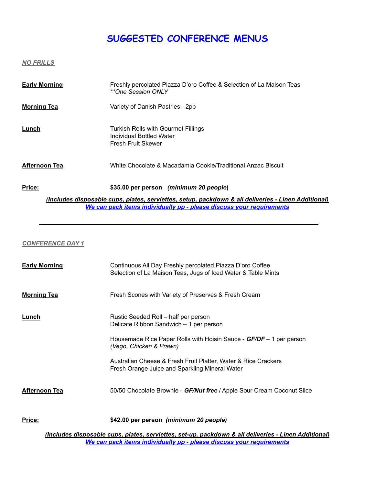## **SUGGESTED CONFERENCE MENUS**

*NO FRILLS*

| <b>Early Morning</b>                                                                                                                                                        | Freshly percolated Piazza D'oro Coffee & Selection of La Maison Teas<br><i>**One Session ONLY</i> |  |
|-----------------------------------------------------------------------------------------------------------------------------------------------------------------------------|---------------------------------------------------------------------------------------------------|--|
| <b>Morning Tea</b>                                                                                                                                                          | Variety of Danish Pastries - 2pp                                                                  |  |
| Lunch                                                                                                                                                                       | Turkish Rolls with Gourmet Fillings<br>Individual Bottled Water<br>Fresh Fruit Skewer             |  |
| <b>Afternoon Tea</b>                                                                                                                                                        | White Chocolate & Macadamia Cookie/Traditional Anzac Biscuit                                      |  |
| Price:                                                                                                                                                                      | \$35.00 per person (minimum 20 people)                                                            |  |
| (Includes disposable cups, plates, serviettes, setup, packdown & all deliveries - Linen Additional)<br>We can pack items individually pp - please discuss your requirements |                                                                                                   |  |

*\_\_\_\_\_\_\_\_\_\_\_\_\_\_\_\_\_\_\_\_\_\_\_\_\_\_\_\_\_\_\_\_\_\_\_\_\_\_\_\_\_\_\_\_\_\_\_\_\_\_\_\_\_\_\_\_\_\_\_\_\_\_\_\_\_\_\_\_\_\_\_\_\_\_\_\_\_\_\_\_\_\_*

#### *CONFERENCE DAY 1*

| <b>Early Morning</b> | Continuous All Day Freshly percolated Piazza D'oro Coffee<br>Selection of La Maison Teas, Jugs of Iced Water & Table Mints |
|----------------------|----------------------------------------------------------------------------------------------------------------------------|
| <b>Morning Tea</b>   | Fresh Scones with Variety of Preserves & Fresh Cream                                                                       |
| Lunch                | Rustic Seeded Roll – half per person<br>Delicate Ribbon Sandwich - 1 per person                                            |
|                      | Housemade Rice Paper Rolls with Hoisin Sauce - GF/DF – 1 per person<br>(Vego, Chicken & Prawn)                             |
|                      | Australian Cheese & Fresh Fruit Platter, Water & Rice Crackers<br>Fresh Orange Juice and Sparkling Mineral Water           |
| <b>Afternoon Tea</b> | 50/50 Chocolate Brownie - GF/Nut free / Apple Sour Cream Coconut Slice                                                     |
| <u>Price:</u>        | \$42.00 per person (minimum 20 people)                                                                                     |

*(Includes disposable cups, plates, serviettes, set-up, packdown & all deliveries - Linen Additional) We can pack items individually pp - please discuss your requirements*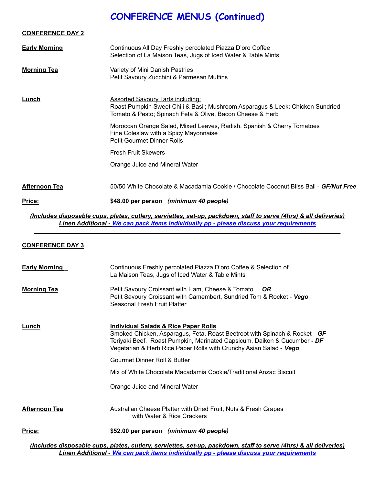## **CONFERENCE MENUS (Continued)**

| <b>CONFERENCE DAY 2</b> |                                                                                                                                                                                         |
|-------------------------|-----------------------------------------------------------------------------------------------------------------------------------------------------------------------------------------|
| <b>Early Morning</b>    | Continuous All Day Freshly percolated Piazza D'oro Coffee<br>Selection of La Maison Teas, Jugs of Iced Water & Table Mints                                                              |
| <b>Morning Tea</b>      | Variety of Mini Danish Pastries<br>Petit Savoury Zucchini & Parmesan Muffins                                                                                                            |
| <u>Lunch</u>            | <b>Assorted Savoury Tarts including:</b><br>Roast Pumpkin Sweet Chili & Basil; Mushroom Asparagus & Leek; Chicken Sundried<br>Tomato & Pesto; Spinach Feta & Olive, Bacon Cheese & Herb |
|                         | Moroccan Orange Salad, Mixed Leaves, Radish, Spanish & Cherry Tomatoes<br>Fine Coleslaw with a Spicy Mayonnaise<br><b>Petit Gourmet Dinner Rolls</b>                                    |
|                         | <b>Fresh Fruit Skewers</b>                                                                                                                                                              |
|                         | Orange Juice and Mineral Water                                                                                                                                                          |
| <b>Afternoon Tea</b>    | 50/50 White Chocolate & Macadamia Cookie / Chocolate Coconut Bliss Ball - GF/Nut Free                                                                                                   |
| <u>Price:</u>           | \$48.00 per person (minimum 40 people)                                                                                                                                                  |

*(Includes disposable cups, plates, cutlery, serviettes, set-up, packdown, staff to serve (4hrs) & all deliveries) Linen Additional - We can pack items individually pp - please discuss your requirements \_\_\_\_\_\_\_\_\_\_\_\_\_\_\_\_\_\_\_\_\_\_\_\_\_\_\_\_\_\_\_\_\_\_\_\_\_\_\_\_\_\_\_\_\_\_\_\_\_\_\_\_\_\_\_\_\_\_\_\_\_\_\_\_\_\_\_\_\_\_\_\_\_\_\_\_\_\_\_\_\_\_\_\_\_\_\_\_\_\_*

#### **CONFERENCE DAY 3**

| <b>Early Morning</b> | Continuous Freshly percolated Piazza D'oro Coffee & Selection of<br>La Maison Teas, Jugs of Iced Water & Table Mints                                                                                                                                                            |
|----------------------|---------------------------------------------------------------------------------------------------------------------------------------------------------------------------------------------------------------------------------------------------------------------------------|
| <b>Morning Tea</b>   | Petit Savoury Croissant with Ham, Cheese & Tomato<br>OR.<br>Petit Savoury Croissant with Camembert, Sundried Tom & Rocket - Vego<br>Seasonal Fresh Fruit Platter                                                                                                                |
| <u>Lunch</u>         | <b>Individual Salads &amp; Rice Paper Rolls</b><br>Smoked Chicken, Asparagus, Feta, Roast Beetroot with Spinach & Rocket - GF<br>Teriyaki Beef, Roast Pumpkin, Marinated Capsicum, Daikon & Cucumber - DF<br>Vegetarian & Herb Rice Paper Rolls with Crunchy Asian Salad - Vego |
|                      | Gourmet Dinner Roll & Butter                                                                                                                                                                                                                                                    |
|                      | Mix of White Chocolate Macadamia Cookie/Traditional Anzac Biscuit                                                                                                                                                                                                               |
|                      | Orange Juice and Mineral Water                                                                                                                                                                                                                                                  |
| <b>Afternoon Tea</b> | Australian Cheese Platter with Dried Fruit, Nuts & Fresh Grapes<br>with Water & Rice Crackers                                                                                                                                                                                   |
| Price:               | \$52.00 per person (minimum 40 people)                                                                                                                                                                                                                                          |
|                      | lncludes disposable cups, plates, cutlery, serviettes, set-up, packdown, staff to serve (Abrs) & all delive                                                                                                                                                                     |

*(Includes disposable cups, plates, cutlery, serviettes, set-up, packdown, staff to serve (4hrs) & all deliveries) Linen Additional - We can pack items individually pp - please discuss your requirements*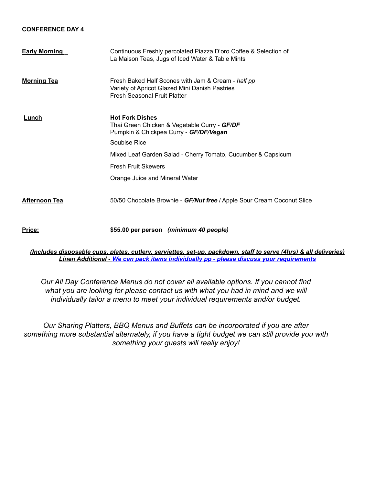#### **CONFERENCE DAY 4**

| <b>Early Morning</b> | Continuous Freshly percolated Piazza D'oro Coffee & Selection of<br>La Maison Teas, Jugs of Iced Water & Table Mints                 |
|----------------------|--------------------------------------------------------------------------------------------------------------------------------------|
| <b>Morning Tea</b>   | Fresh Baked Half Scones with Jam & Cream - half pp<br>Variety of Apricot Glazed Mini Danish Pastries<br>Fresh Seasonal Fruit Platter |
| Lunch                | <b>Hot Fork Dishes</b><br>Thai Green Chicken & Vegetable Curry - GF/DF<br>Pumpkin & Chickpea Curry - GF/DF/Vegan<br>Soubise Rice     |
|                      |                                                                                                                                      |
|                      | Mixed Leaf Garden Salad - Cherry Tomato, Cucumber & Capsicum                                                                         |
|                      | <b>Fresh Fruit Skewers</b>                                                                                                           |
|                      | Orange Juice and Mineral Water                                                                                                       |
| <b>Afternoon Tea</b> | 50/50 Chocolate Brownie - GF/Nut free / Apple Sour Cream Coconut Slice                                                               |
| Price:               | \$55.00 per person (minimum 40 people)                                                                                               |

*(Includes disposable cups, plates, cutlery, serviettes, set-up, packdown, staff to serve (4hrs) & all deliveries) Linen Additional - We can pack items individually pp - please discuss your requirements*

*Our All Day Conference Menus do not cover all available options. If you cannot find* what you are looking for please contact us with what you had in mind and we will *individually tailor a menu to meet your individual requirements and/or budget.*

*Our Sharing Platters, BBQ Menus and Buffets can be incorporated if you are after something more substantial alternately, if you have a tight budget we can still provide you with something your guests will really enjoy!*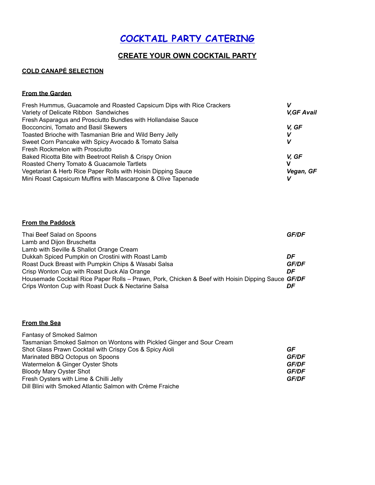## **COCKTAIL PARTY CATERING**

#### **CREATE YOUR OWN COCKTAIL PARTY**

#### **COLD CANAPÉ SELECTION**

#### **From the Garden**

| Fresh Hummus, Guacamole and Roasted Capsicum Dips with Rice Crackers |                    |
|----------------------------------------------------------------------|--------------------|
| Variety of Delicate Ribbon Sandwiches                                | <b>V, GF Avail</b> |
| Fresh Asparagus and Prosciutto Bundles with Hollandaise Sauce        |                    |
| Bocconcini, Tomato and Basil Skewers                                 | V. GF              |
| Toasted Brioche with Tasmanian Brie and Wild Berry Jelly             | V                  |
| Sweet Corn Pancake with Spicy Avocado & Tomato Salsa                 |                    |
| Fresh Rockmelon with Prosciutto                                      |                    |
| Baked Ricotta Bite with Beetroot Relish & Crispy Onion               | V. GF              |
| Roasted Cherry Tomato & Guacamole Tartlets                           | v                  |
| Vegetarian & Herb Rice Paper Rolls with Hoisin Dipping Sauce         | Vegan, GF          |
| Mini Roast Capsicum Muffins with Mascarpone & Olive Tapenade         |                    |

#### **From the Paddock**

| Thai Beef Salad on Spoons                                                                         | <b>GF/DF</b> |
|---------------------------------------------------------------------------------------------------|--------------|
| Lamb and Dijon Bruschetta                                                                         |              |
| Lamb with Seville & Shallot Orange Cream                                                          |              |
| Dukkah Spiced Pumpkin on Crostini with Roast Lamb                                                 | DF           |
| Roast Duck Breast with Pumpkin Chips & Wasabi Salsa                                               | <b>GF/DF</b> |
| Crisp Wonton Cup with Roast Duck Ala Orange                                                       | DF           |
| Housemade Cocktail Rice Paper Rolls - Prawn, Pork, Chicken & Beef with Hoisin Dipping Sauce GF/DF |              |
| Crips Wonton Cup with Roast Duck & Nectarine Salsa                                                | DF           |

#### **From the Sea**

| <b>Fantasy of Smoked Salmon</b>                                       |              |
|-----------------------------------------------------------------------|--------------|
| Tasmanian Smoked Salmon on Wontons with Pickled Ginger and Sour Cream |              |
| Shot Glass Prawn Cocktail with Crispy Cos & Spicy Aioli               | GF           |
| Marinated BBQ Octopus on Spoons                                       | <b>GF/DF</b> |
| Watermelon & Ginger Oyster Shots                                      | <b>GF/DF</b> |
| <b>Bloody Mary Oyster Shot</b>                                        | <b>GF/DF</b> |
| Fresh Oysters with Lime & Chilli Jelly                                | <b>GF/DF</b> |
| Dill Blini with Smoked Atlantic Salmon with Crème Fraiche             |              |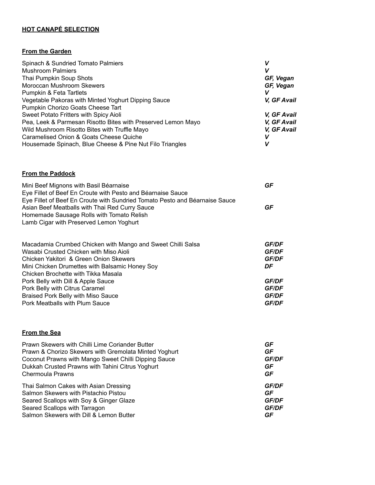#### **HOT CANAPÉ SELECTION**

#### **From the Garden**

| Spinach & Sundried Tomato Palmiers<br><b>Mushroom Palmiers</b><br>Thai Pumpkin Soup Shots<br>Moroccan Mushroom Skewers<br>Pumpkin & Feta Tartlets                                                                                                              | V<br>V<br>GF, Vegan<br>GF, Vegan<br>V               |
|----------------------------------------------------------------------------------------------------------------------------------------------------------------------------------------------------------------------------------------------------------------|-----------------------------------------------------|
| Vegetable Pakoras with Minted Yoghurt Dipping Sauce<br>Pumpkin Chorizo Goats Cheese Tart                                                                                                                                                                       | V, GF Avail                                         |
| Sweet Potato Fritters with Spicy Aioli<br>Pea, Leek & Parmesan Risotto Bites with Preserved Lemon Mayo<br>Wild Mushroom Risotto Bites with Truffle Mayo<br>Caramelised Onion & Goats Cheese Quiche<br>Housemade Spinach, Blue Cheese & Pine Nut Filo Triangles | V, GF Avail<br>V, GF Avail<br>V, GF Avail<br>V<br>V |
| <b>From the Paddock</b>                                                                                                                                                                                                                                        |                                                     |
| Mini Beef Mignons with Basil Béarnaise<br>Eye Fillet of Beef En Croute with Pesto and Béarnaise Sauce<br>Eye Fillet of Beef En Croute with Sundried Tomato Pesto and Béarnaise Sauce                                                                           | GF                                                  |
| Asian Beef Meatballs with Thai Red Curry Sauce<br>Homemade Sausage Rolls with Tomato Relish<br>Lamb Cigar with Preserved Lemon Yoghurt                                                                                                                         | GF                                                  |
| Macadamia Crumbed Chicken with Mango and Sweet Chilli Salsa<br>Wasabi Crusted Chicken with Miso Aioli                                                                                                                                                          | <b>GF/DF</b><br><b>GF/DF</b>                        |

| <u>VYASADI CIUSTEG CIIICKEII WIIII MISO AIDII</u> | GF/DF        |
|---------------------------------------------------|--------------|
| Chicken Yakitori & Green Onion Skewers            | <b>GF/DF</b> |
| Mini Chicken Drumettes with Balsamic Honey Soy    | DF           |
| Chicken Brochette with Tikka Masala               |              |
| Pork Belly with Dill & Apple Sauce                | <b>GF/DF</b> |
| Pork Belly with Citrus Caramel                    | <b>GF/DF</b> |
| Braised Pork Belly with Miso Sauce                | <b>GF/DF</b> |
| Pork Meatballs with Plum Sauce                    | <b>GF/DF</b> |
|                                                   |              |

#### **From the Sea**

| Prawn Skewers with Chilli Lime Coriander Butter       | GF           |  |
|-------------------------------------------------------|--------------|--|
| Prawn & Chorizo Skewers with Gremolata Minted Yoghurt | GF           |  |
| Coconut Prawns with Mango Sweet Chilli Dipping Sauce  | <b>GF/DF</b> |  |
| Dukkah Crusted Prawns with Tahini Citrus Yoghurt      | GF           |  |
| Chermoula Prawns                                      | GF           |  |
| Thai Salmon Cakes with Asian Dressing                 | GF/DF        |  |
| Salmon Skewers with Pistachio Pistou                  | GF           |  |
| Seared Scallops with Soy & Ginger Glaze               | <b>GF/DF</b> |  |
| Seared Scallops with Tarragon                         | <b>GF/DF</b> |  |
| Salmon Skewers with Dill & Lemon Butter               | GF           |  |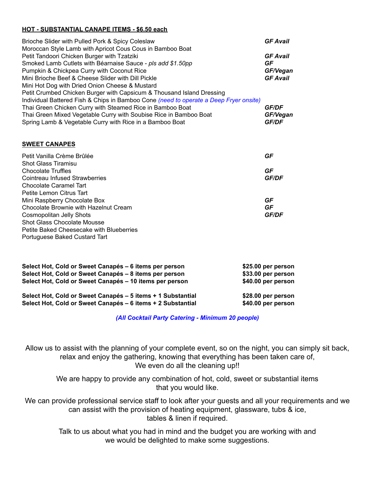#### **HOT - SUBSTANTIAL CANAPE ITEMS - \$6.50 each**

| Brioche Slider with Pulled Pork & Spicy Coleslaw<br>Moroccan Style Lamb with Apricot Cous Cous in Bamboo Boat                                                                                                                                                                                                                                                                                                                                                                                                                                                                                                                    | <b>GF Avail</b>                                                                                  |
|----------------------------------------------------------------------------------------------------------------------------------------------------------------------------------------------------------------------------------------------------------------------------------------------------------------------------------------------------------------------------------------------------------------------------------------------------------------------------------------------------------------------------------------------------------------------------------------------------------------------------------|--------------------------------------------------------------------------------------------------|
| Petit Tandoori Chicken Burger with Tzatziki<br>Smoked Lamb Cutlets with Béarnaise Sauce - pls add \$1.50pp<br>Pumpkin & Chickpea Curry with Coconut Rice<br>Mini Brioche Beef & Cheese Slider with Dill Pickle<br>Mini Hot Dog with Dried Onion Cheese & Mustard<br>Petit Crumbed Chicken Burger with Capsicum & Thousand Island Dressing<br>Individual Battered Fish & Chips in Bamboo Cone (need to operate a Deep Fryer onsite)<br>Thai Green Chicken Curry with Steamed Rice in Bamboo Boat<br>Thai Green Mixed Vegetable Curry with Soubise Rice in Bamboo Boat<br>Spring Lamb & Vegetable Curry with Rice in a Bamboo Boat | <b>GF Avail</b><br>GF<br>GF/Vegan<br><b>GF Avail</b><br><b>GF/DF</b><br>GF/Vegan<br><b>GF/DF</b> |
| <b>SWEET CANAPES</b>                                                                                                                                                                                                                                                                                                                                                                                                                                                                                                                                                                                                             |                                                                                                  |
| Petit Vanilla Crème Brûlée                                                                                                                                                                                                                                                                                                                                                                                                                                                                                                                                                                                                       | GF                                                                                               |
| <b>Shot Glass Tiramisu</b><br><b>Chocolate Truffles</b><br>Cointreau Infused Strawberries<br><b>Chocolate Caramel Tart</b>                                                                                                                                                                                                                                                                                                                                                                                                                                                                                                       | GF<br><b>GF/DF</b>                                                                               |
| Petite Lemon Citrus Tart<br>Mini Raspberry Chocolate Box<br>Chocolate Brownie with Hazelnut Cream<br><b>Cosmopolitan Jelly Shots</b><br><b>Shot Glass Chocolate Mousse</b>                                                                                                                                                                                                                                                                                                                                                                                                                                                       | GF<br>GF<br><b>GF/DF</b>                                                                         |
| <b>Petite Baked Cheesecake with Blueberries</b><br>Portuguese Baked Custard Tart                                                                                                                                                                                                                                                                                                                                                                                                                                                                                                                                                 |                                                                                                  |
| Select Hot, Cold or Sweet Canapés - 6 items per person<br>Select Hot, Cold or Sweet Canapés - 8 items per person<br>Select Hot, Cold or Sweet Canapés - 10 items per person                                                                                                                                                                                                                                                                                                                                                                                                                                                      | \$25.00 per person<br>\$33.00 per person<br>\$40.00 per person                                   |
| Select Hot, Cold or Sweet Canapés - 5 items + 1 Substantial                                                                                                                                                                                                                                                                                                                                                                                                                                                                                                                                                                      | \$28.00 per person                                                                               |

**Select Hot, Cold or Sweet Canapés – 6 items + 2 Substantial \$40.00 per person**

*(All Cocktail Party Catering - Minimum 20 people)*

Allow us to assist with the planning of your complete event, so on the night, you can simply sit back, relax and enjoy the gathering, knowing that everything has been taken care of, We even do all the cleaning up!!

We are happy to provide any combination of hot, cold, sweet or substantial items that you would like.

We can provide professional service staff to look after your guests and all your requirements and we can assist with the provision of heating equipment, glassware, tubs & ice, tables & linen if required.

> Talk to us about what you had in mind and the budget you are working with and we would be delighted to make some suggestions.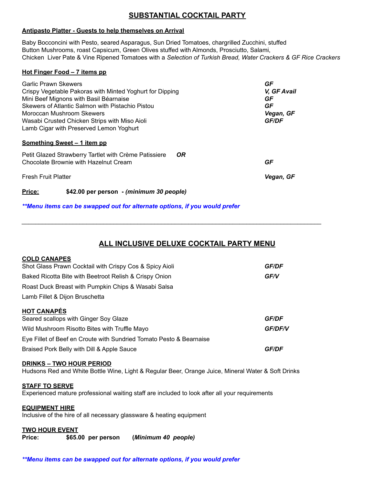#### **SUBSTANTIAL COCKTAIL PARTY**

#### **Antipasto Platter - Guests to help themselves on Arrival**

Baby Bocconcini with Pesto, seared Asparagus, Sun Dried Tomatoes, chargrilled Zucchini, stuffed Button Mushrooms, roast Capsicum, Green Olives stuffed with Almonds, Prosciutto, Salami, Chicken Liver Pate & Vine Ripened Tomatoes with a *Selection of Turkish Bread, Water Crackers & GF Rice Crackers*

#### **Hot Finger Food – 7 items pp**

| <b>Garlic Prawn Skewers</b>                              |           | GF           |
|----------------------------------------------------------|-----------|--------------|
| Crispy Vegetable Pakoras with Minted Yoghurt for Dipping |           | V, GF Avail  |
| Mini Beef Mignons with Basil Béarnaise                   |           | GF           |
| Skewers of Atlantic Salmon with Pistachio Pistou         |           | GF           |
| Moroccan Mushroom Skewers                                |           | Vegan, GF    |
| Wasabi Crusted Chicken Strips with Miso Aioli            |           | <b>GF/DF</b> |
| Lamb Cigar with Preserved Lemon Yoghurt                  |           |              |
|                                                          |           |              |
| Something Sweet - 1 item pp                              |           |              |
| Petit Glazed Strawberry Tartlet with Crème Patissiere    | <b>OR</b> |              |
| Chocolate Brownie with Hazelnut Cream                    |           | GF           |
|                                                          |           |              |
| <b>Fresh Fruit Platter</b>                               |           | Vegan, GF    |
|                                                          |           |              |
| \$42.00 per person - (minimum 30 people)<br>Price:       |           |              |

*\*\*Menu items can be swapped out for alternate options, if you would prefer*

#### **ALL INCLUSIVE DELUXE COCKTAIL PARTY MENU**

*\_\_\_\_\_\_\_\_\_\_\_\_\_\_\_\_\_\_\_\_\_\_\_\_\_\_\_\_\_\_\_\_\_\_\_\_\_\_\_\_\_\_\_\_\_\_\_\_\_\_\_\_\_\_\_\_\_\_\_\_\_\_\_\_\_\_\_\_\_\_\_\_\_\_\_\_\_\_\_\_\_\_\_\_\_\_\_\_*

#### **COLD CANAPES**

| Shot Glass Prawn Cocktail with Crispy Cos & Spicy Aioli             | <b>GF/DF</b>   |
|---------------------------------------------------------------------|----------------|
| Baked Ricotta Bite with Beetroot Relish & Crispy Onion              | <b>GF/V</b>    |
| Roast Duck Breast with Pumpkin Chips & Wasabi Salsa                 |                |
| Lamb Fillet & Dijon Bruschetta                                      |                |
| <b>HOT CANAPÉS</b><br>Seared scallops with Ginger Soy Glaze         | <b>GF/DF</b>   |
| Wild Mushroom Risotto Bites with Truffle Mayo                       | <b>GF/DF/V</b> |
| Eye Fillet of Beef en Croute with Sundried Tomato Pesto & Bearnaise |                |
| Braised Pork Belly with Dill & Apple Sauce                          | <b>GF/DF</b>   |

#### **DRINKS – TWO HOUR PERIOD**

Hudsons Red and White Bottle Wine, Light & Regular Beer, Orange Juice, Mineral Water & Soft Drinks

#### **STAFF TO SERVE**

Experienced mature professional waiting staff are included to look after all your requirements

#### **EQUIPMENT HIRE**

Inclusive of the hire of all necessary glassware & heating equipment

#### **TWO HOUR EVENT**

**Price: \$65.00 per person (***Minimum 40 people)*

*\*\*Menu items can be swapped out for alternate options, if you would prefer*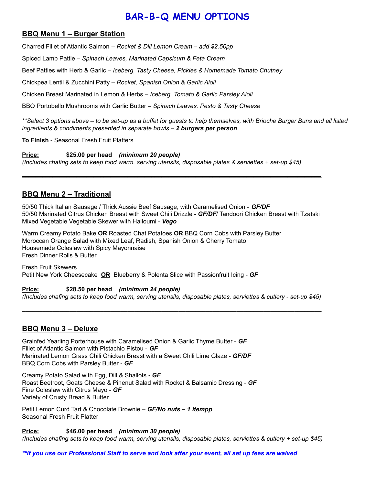## **BAR-B-Q MENU OPTIONS**

#### **BBQ Menu 1 – Burger Station**

Charred Fillet of Atlantic Salmon *– Rocket & Dill Lemon Cream – add \$2.50pp*

Spiced Lamb Pattie – *Spinach Leaves, Marinated Capsicum & Feta Cream*

Beef Patties with Herb & Garlic – *Iceberg, Tasty Cheese, Pickles & Homemade Tomato Chutney*

Chickpea Lentil & Zucchini Patty – *Rocket, Spanish Onion & Garlic Aioli*

Chicken Breast Marinated in Lemon & Herbs – *Iceberg, Tomato & Garlic Parsley Aioli*

BBQ Portobello Mushrooms with Garlic Butter – *Spinach Leaves, Pesto & Tasty Cheese*

\*\*Select 3 options above – to be set-up as a buffet for guests to help themselves, with Brioche Burger Buns and all listed *ingredients & condiments presented in separate bowls – 2 burgers per person*

**To Finish** - Seasonal Fresh Fruit Platters

**Price: \$25.00 per head** *(minimum 20 people) (Includes chafing sets to keep food warm, serving utensils, disposable plates & serviettes + set-up \$45)*

#### **BBQ Menu 2 – Traditional**

50/50 Thick Italian Sausage / Thick Aussie Beef Sausage, with Caramelised Onion - *GF/DF* 50/50 Marinated Citrus Chicken Breast with Sweet Chili Drizzle - *GF/DF*/ Tandoori Chicken Breast with Tzatski Mixed Vegetable Vegetable Skewer with Halloumi - *Vego*

**\_\_\_\_\_\_\_\_\_\_\_\_\_\_\_\_\_\_\_\_\_\_\_\_\_\_\_\_\_\_\_\_\_\_\_\_\_\_\_\_\_\_\_\_\_\_\_\_\_\_\_\_\_\_\_\_\_\_\_\_\_\_\_\_\_\_\_\_\_\_\_\_\_\_\_\_\_\_\_\_\_\_\_\_\_\_\_\_**

\_\_\_\_\_\_\_\_\_\_\_\_\_\_\_\_\_\_\_\_\_\_\_\_\_\_\_\_\_\_\_\_\_\_\_\_\_\_\_\_\_\_\_\_\_\_\_\_\_\_\_\_\_\_\_\_\_\_\_\_\_\_\_\_\_\_\_\_\_\_\_\_\_\_\_\_\_\_\_\_\_\_\_\_\_\_\_\_

Warm Creamy Potato Bake **OR** Roasted Chat Potatoes **OR** BBQ Corn Cobs with Parsley Butter Moroccan Orange Salad with Mixed Leaf, Radish, Spanish Onion & Cherry Tomato Housemade Coleslaw with Spicy Mayonnaise Fresh Dinner Rolls & Butter

Fresh Fruit Skewers Petit New York Cheesecake **OR** Blueberry & Polenta Slice with Passionfruit Icing - *GF*

**Price: \$28.50 per head** *(minimum 24 people)* (Includes chafing sets to keep food warm, serving utensils, disposable plates, serviettes & cutlery - set-up \$45)

#### **BBQ Menu 3 – Deluxe**

Grainfed Yearling Porterhouse with Caramelised Onion & Garlic Thyme Butter - *GF* Fillet of Atlantic Salmon with Pistachio Pistou - *GF* Marinated Lemon Grass Chili Chicken Breast with a Sweet Chili Lime Glaze - *GF/DF* BBQ Corn Cobs with Parsley Butter - *GF*

Creamy Potato Salad with Egg, Dill & Shallots *- GF* Roast Beetroot, Goats Cheese & Pinenut Salad with Rocket & Balsamic Dressing - *GF* Fine Coleslaw with Citrus Mayo - *GF* Variety of Crusty Bread & Butter

Petit Lemon Curd Tart & Chocolate Brownie – *GF/No nuts – 1 itempp* Seasonal Fresh Fruit Platter

**Price: \$46.00 per head** *(minimum 30 people)*

(Includes chafing sets to keep food warm, serving utensils, disposable plates, serviettes & cutlery + set-up \$45)

\*\*If you use our Professional Staff to serve and look after your event, all set up fees are waived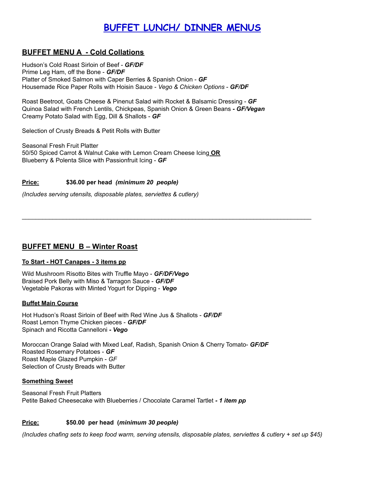## **BUFFET LUNCH/ DINNER MENUS**

#### **BUFFET MENU A - Cold Collations**

Hudson's Cold Roast Sirloin of Beef - *GF/DF* Prime Leg Ham, off the Bone - *GF/DF* Platter of Smoked Salmon with Caper Berries & Spanish Onion - *GF* Housemade Rice Paper Rolls with Hoisin Sauce - *Vego & Chicken Options* - *GF/DF*

Roast Beetroot, Goats Cheese & Pinenut Salad with Rocket & Balsamic Dressing - *GF* Quinoa Salad with French Lentils, Chickpeas, Spanish Onion & Green Beans *- GF/Vegan* Creamy Potato Salad with Egg, Dill & Shallots - *GF*

 $\mathcal{L}_\text{max}$  , and the contribution of the contribution of the contribution of the contribution of the contribution of the contribution of the contribution of the contribution of the contribution of the contribution of t

Selection of Crusty Breads & Petit Rolls with Butter

Seasonal Fresh Fruit Platter 50/50 Spiced Carrot & Walnut Cake with Lemon Cream Cheese Icing **OR** Blueberry & Polenta Slice with Passionfruit Icing - *GF*

#### **Price: \$36.00 per head** *(minimum 20 people)*

*(Includes serving utensils, disposable plates, serviettes & cutlery)*

#### **BUFFET MENU B – Winter Roast**

#### **To Start - HOT Canapes - 3 items pp**

Wild Mushroom Risotto Bites with Truffle Mayo - *GF/DF/Vego* Braised Pork Belly with Miso & Tarragon Sauce - *GF/DF* Vegetable Pakoras with Minted Yogurt for Dipping - *Vego*

#### **Buffet Main Course**

Hot Hudson's Roast Sirloin of Beef with Red Wine Jus & Shallots - *GF/DF* Roast Lemon Thyme Chicken pieces - *GF/DF* Spinach and Ricotta Cannelloni *- Vego*

Moroccan Orange Salad with Mixed Leaf, Radish, Spanish Onion & Cherry Tomato- *GF/DF* Roasted Rosemary Potatoes - *GF* Roast Maple Glazed Pumpkin - *GF* Selection of Crusty Breads with Butter

#### **Something Sweet**

Seasonal Fresh Fruit Platters Petite Baked Cheesecake with Blueberries / Chocolate Caramel Tartlet *- 1 item pp*

#### **Price: \$50.00 per head (***minimum 30 people)*

(Includes chafing sets to keep food warm, serving utensils, disposable plates, serviettes & cutlery + set up \$45)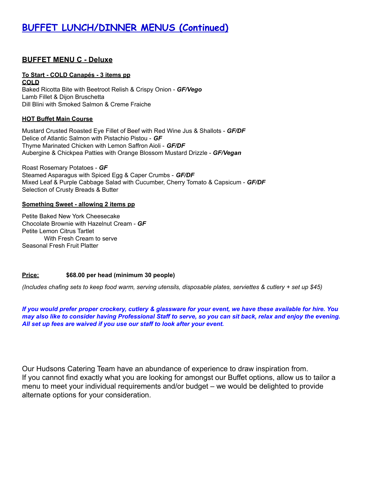## **BUFFET LUNCH/DINNER MENUS (Continued)**

#### **BUFFET MENU C - Deluxe**

#### **To Start - COLD Canapés - 3 items pp**

**COLD** Baked Ricotta Bite with Beetroot Relish & Crispy Onion - *GF/Vego* Lamb Fillet & Dijon Bruschetta Dill Blini with Smoked Salmon & Creme Fraiche

#### **HOT Buffet Main Course**

Mustard Crusted Roasted Eye Fillet of Beef with Red Wine Jus & Shallots - *GF/DF* Delice of Atlantic Salmon with Pistachio Pistou - *GF* Thyme Marinated Chicken with Lemon Saffron Aioli - *GF/DF* Aubergine & Chickpea Patties with Orange Blossom Mustard Drizzle - *GF/Vegan*

Roast Rosemary Potatoes - *GF* Steamed Asparagus with Spiced Egg & Caper Crumbs - *GF/DF* Mixed Leaf & Purple Cabbage Salad with Cucumber, Cherry Tomato & Capsicum - *GF/DF* Selection of Crusty Breads & Butter

#### **Something Sweet - allowing 2 items pp**

Petite Baked New York Cheesecake Chocolate Brownie with Hazelnut Cream - *GF* Petite Lemon Citrus Tartlet With Fresh Cream to serve Seasonal Fresh Fruit Platter

#### **Price: \$68.00 per head (minimum 30 people)**

(Includes chafing sets to keep food warm, serving utensils, disposable plates, serviettes & cutlery + set up \$45)

If you would prefer proper crockery, cutlery & glassware for your event, we have these available for hire. You may also like to consider having Professional Staff to serve, so you can sit back, relax and enjoy the evening. *All set up fees are waived if you use our staff to look after your event.*

Our Hudsons Catering Team have an abundance of experience to draw inspiration from. If you cannot find exactly what you are looking for amongst our Buffet options, allow us to tailor a menu to meet your individual requirements and/or budget – we would be delighted to provide alternate options for your consideration.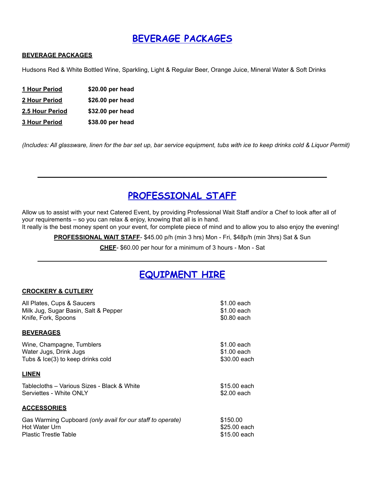## **BEVERAGE PACKAGES**

#### **BEVERAGE PACKAGES**

Hudsons Red & White Bottled Wine, Sparkling, Light & Regular Beer, Orange Juice, Mineral Water & Soft Drinks

 **Hour Period \$20.00 per head Hour Period \$26.00 per head 2.5 Hour Period \$32.00 per head Hour Period \$38.00 per head**

(Includes: All glassware, linen for the bar set up, bar service equipment, tubs with ice to keep drinks cold & Liquor Permit)

## **PROFESSIONAL STAFF**

**\_\_\_\_\_\_\_\_\_\_\_\_\_\_\_\_\_\_\_\_\_\_\_\_\_\_\_\_\_\_\_\_\_\_\_\_\_\_\_\_\_\_\_\_\_\_\_\_\_\_\_\_\_\_\_\_\_\_\_\_\_\_\_\_\_\_\_\_\_\_\_\_\_\_\_\_\_\_\_\_\_\_\_\_\_**

Allow us to assist with your next Catered Event, by providing Professional Wait Staff and/or a Chef to look after all of your requirements – so you can relax & enjoy, knowing that all is in hand.

It really is the best money spent on your event, for complete piece of mind and to allow you to also enjoy the evening!

**PROFESSIONAL WAIT STAFF**- \$45.00 p/h (min 3 hrs) Mon - Fri, \$48p/h (min 3hrs) Sat & Sun

**CHEF**- \$60.00 per hour for a minimum of 3 hours - Mon - Sat **\_\_\_\_\_\_\_\_\_\_\_\_\_\_\_\_\_\_\_\_\_\_\_\_\_\_\_\_\_\_\_\_\_\_\_\_\_\_\_\_\_\_\_\_\_\_\_\_\_\_\_\_\_\_\_\_\_\_\_\_\_\_\_\_\_\_\_\_\_\_\_\_\_\_\_\_\_\_\_\_\_\_\_\_\_**

## **EQUIPMENT HIRE**

#### **CROCKERY & CUTLERY**

| All Plates, Cups & Saucers                                 | \$1.00 each  |
|------------------------------------------------------------|--------------|
| Milk Jug, Sugar Basin, Salt & Pepper                       | \$1.00 each  |
| Knife, Fork, Spoons                                        | \$0.80 each  |
|                                                            |              |
| <b>BEVERAGES</b>                                           |              |
| Wine, Champagne, Tumblers                                  | \$1.00 each  |
| Water Jugs, Drink Jugs                                     | \$1.00 each  |
| Tubs & Ice(3) to keep drinks cold                          | \$30.00 each |
|                                                            |              |
| <b>LINEN</b>                                               |              |
| Tablecloths – Various Sizes - Black & White                | \$15.00 each |
| Serviettes - White ONLY                                    | \$2.00 each  |
|                                                            |              |
| <b>ACCESSORIES</b>                                         |              |
| Gas Warming Cupboard (only avail for our staff to operate) | \$150.00     |
| Hot Water Urn                                              | \$25.00 each |
| <b>Plastic Trestle Table</b>                               | \$15.00 each |
|                                                            |              |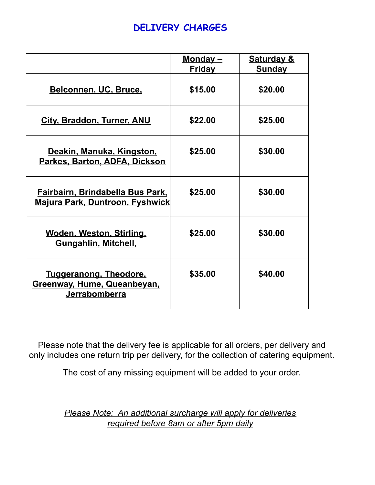## **DELIVERY CHARGES**

|                                                                                    | <u>Monday –</u><br><b>Friday</b> | <b>Saturday &amp;</b><br><b>Sunday</b> |
|------------------------------------------------------------------------------------|----------------------------------|----------------------------------------|
| Belconnen, UC, Bruce.                                                              | \$15.00                          | \$20.00                                |
| <b>City, Braddon, Turner, ANU</b>                                                  | \$22.00                          | \$25.00                                |
| Deakin, Manuka, Kingston,<br>Parkes, Barton, ADFA, Dickson                         | \$25.00                          | \$30.00                                |
| <b>Fairbairn, Brindabella Bus Park,</b><br><u> Majura Park, Duntroon, Fyshwick</u> | \$25.00                          | \$30.00                                |
| Woden, Weston, Stirling,<br><b>Gungahlin, Mitchell,</b>                            | \$25.00                          | \$30.00                                |
| <u>Tuggeranong, Theodore,</u><br>Greenway, Hume, Queanbeyan,<br>Jerrabomberra      | \$35.00                          | \$40.00                                |

Please note that the delivery fee is applicable for all orders, per delivery and only includes one return trip per delivery, for the collection of catering equipment.

The cost of any missing equipment will be added to your order.

*Please Note: An additional surcharge will apply for deliveries required before 8am or after 5pm daily*